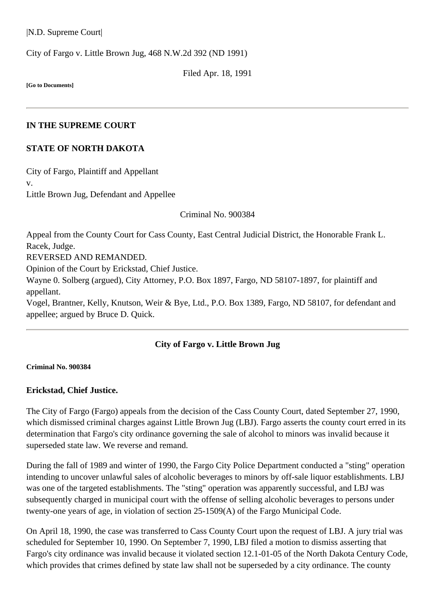|N.D. Supreme Court|

City of Fargo v. Little Brown Jug, [468 N.W.2d 392](http://www.ndcourts.gov/supreme-court/opinion/468NW2d392) (ND 1991)

Filed Apr. 18, 1991

**[Go to Documents]**

#### **IN THE SUPREME COURT**

### **STATE OF NORTH DAKOTA**

City of Fargo, Plaintiff and Appellant v. Little Brown Jug, Defendant and Appellee

Criminal [No. 900384](http://www.ndcourts.gov/supreme-court/dockets/19900384)

Appeal from the County Court for Cass County, East Central Judicial District, the Honorable Frank L. Racek, Judge. REVERSED AND REMANDED. Opinion of the Court by Erickstad, Chief Justice. Wayne 0. Solberg (argued), City Attorney, P.O. Box 1897, Fargo, ND 58107-1897, for plaintiff and appellant. Vogel, Brantner, Kelly, Knutson, Weir & Bye, Ltd., P.O. Box 1389, Fargo, ND 58107, for defendant and appellee; argued by Bruce D. Quick.

# **City of Fargo v. Little Brown Jug**

**Criminal [No. 900384](http://www.ndcourts.gov/supreme-court/dockets/19900384)**

### **Erickstad, Chief Justice.**

The City of Fargo (Fargo) appeals from the decision of the Cass County Court, dated September 27, 1990, which dismissed criminal charges against Little Brown Jug (LBJ). Fargo asserts the county court erred in its determination that Fargo's city ordinance governing the sale of alcohol to minors was invalid because it superseded state law. We reverse and remand.

During the fall of 1989 and winter of 1990, the Fargo City Police Department conducted a "sting" operation intending to uncover unlawful sales of alcoholic beverages to minors by off-sale liquor establishments. LBJ was one of the targeted establishments. The "sting" operation was apparently successful, and LBJ was subsequently charged in municipal court with the offense of selling alcoholic beverages to persons under twenty-one years of age, in violation of section 25-1509(A) of the Fargo Municipal Code.

On April 18, 1990, the case was transferred to Cass County Court upon the request of LBJ. A jury trial was scheduled for September 10, 1990. On September 7, 1990, LBJ filed a motion to dismiss asserting that Fargo's city ordinance was invalid because it violated section 12.1-01-05 of the North Dakota Century Code, which provides that crimes defined by state law shall not be superseded by a city ordinance. The county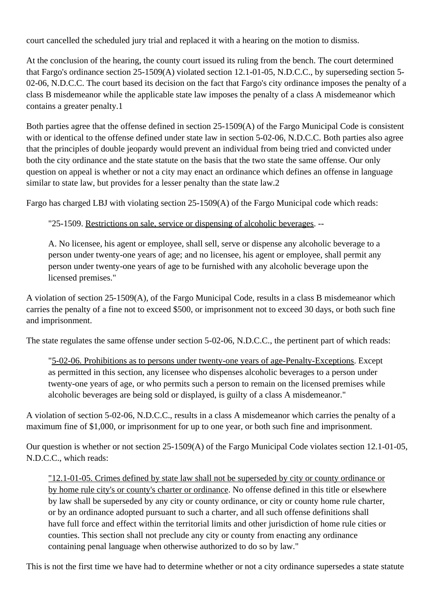court cancelled the scheduled jury trial and replaced it with a hearing on the motion to dismiss.

At the conclusion of the hearing, the county court issued its ruling from the bench. The court determined that Fargo's ordinance section 25-1509(A) violated section 12.1-01-05, N.D.C.C., by superseding section 5- 02-06, N.D.C.C. The court based its decision on the fact that Fargo's city ordinance imposes the penalty of a class B misdemeanor while the applicable state law imposes the penalty of a class A misdemeanor which contains a greater penalty.1

Both parties agree that the offense defined in section 25-1509(A) of the Fargo Municipal Code is consistent with or identical to the offense defined under state law in section 5-02-06, N.D.C.C. Both parties also agree that the principles of double jeopardy would prevent an individual from being tried and convicted under both the city ordinance and the state statute on the basis that the two state the same offense. Our only question on appeal is whether or not a city may enact an ordinance which defines an offense in language similar to state law, but provides for a lesser penalty than the state law.2

Fargo has charged LBJ with violating section 25-1509(A) of the Fargo Municipal code which reads:

"25-1509. Restrictions on sale, service or dispensing of alcoholic beverages. --

A. No licensee, his agent or employee, shall sell, serve or dispense any alcoholic beverage to a person under twenty-one years of age; and no licensee, his agent or employee, shall permit any person under twenty-one years of age to be furnished with any alcoholic beverage upon the licensed premises."

A violation of section 25-1509(A), of the Fargo Municipal Code, results in a class B misdemeanor which carries the penalty of a fine not to exceed \$500, or imprisonment not to exceed 30 days, or both such fine and imprisonment.

The state regulates the same offense under section 5-02-06, N.D.C.C., the pertinent part of which reads:

"5-02-06. Prohibitions as to persons under twenty-one years of age-Penalty-Exceptions. Except as permitted in this section, any licensee who dispenses alcoholic beverages to a person under twenty-one years of age, or who permits such a person to remain on the licensed premises while alcoholic beverages are being sold or displayed, is guilty of a class A misdemeanor."

A violation of section 5-02-06, N.D.C.C., results in a class A misdemeanor which carries the penalty of a maximum fine of \$1,000, or imprisonment for up to one year, or both such fine and imprisonment.

Our question is whether or not section 25-1509(A) of the Fargo Municipal Code violates section 12.1-01-05, N.D.C.C., which reads:

"12.1-01-05. Crimes defined by state law shall not be superseded by city or county ordinance or by home rule city's or county's charter or ordinance. No offense defined in this title or elsewhere by law shall be superseded by any city or county ordinance, or city or county home rule charter, or by an ordinance adopted pursuant to such a charter, and all such offense definitions shall have full force and effect within the territorial limits and other jurisdiction of home rule cities or counties. This section shall not preclude any city or county from enacting any ordinance containing penal language when otherwise authorized to do so by law."

This is not the first time we have had to determine whether or not a city ordinance supersedes a state statute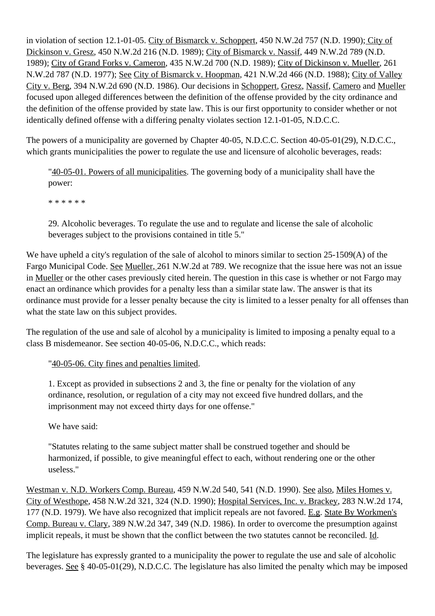in violation of section 12.1-01-05. City of Bismarck v. Schoppert, [450 N.W.2d 757](http://www.ndcourts.gov/supreme-court/opinion/450NW2d757) (N.D. 1990); City of Dickinson v. Gresz, [450 N.W.2d 216](http://www.ndcourts.gov/supreme-court/opinion/450NW2d216) (N.D. 1989); City of Bismarck v. Nassif, [449 N.W.2d 789](http://www.ndcourts.gov/supreme-court/opinion/449NW2d789) (N.D. 1989); City of Grand Forks v. Cameron, [435 N.W.2d 700](http://www.ndcourts.gov/supreme-court/opinion/435NW2d700) (N.D. 1989); City of Dickinson v. Mueller, [261](http://www.ndcourts.gov/supreme-court/opinion/261NW2d787) [N.W.2d 787](http://www.ndcourts.gov/supreme-court/opinion/261NW2d787) (N.D. 1977); See City of Bismarck v. Hoopman, [421 N.W.2d 466](http://www.ndcourts.gov/supreme-court/opinion/421NW2d466) (N.D. 1988); City of Valley City v. Berg, [394 N.W.2d 690](http://www.ndcourts.gov/supreme-court/opinion/394NW2d690) (N.D. 1986). Our decisions in Schoppert, Gresz, Nassif, Camero and Mueller focused upon alleged differences between the definition of the offense provided by the city ordinance and the definition of the offense provided by state law. This is our first opportunity to consider whether or not identically defined offense with a differing penalty violates section 12.1-01-05, N.D.C.C.

The powers of a municipality are governed by Chapter 40-05, N.D.C.C. Section 40-05-01(29), N.D.C.C., which grants municipalities the power to regulate the use and licensure of alcoholic beverages, reads:

"40-05-01. Powers of all municipalities. The governing body of a municipality shall have the power:

\* \* \* \* \* \*

29. Alcoholic beverages. To regulate the use and to regulate and license the sale of alcoholic beverages subject to the provisions contained in title 5."

We have upheld a city's regulation of the sale of alcohol to minors similar to section 25-1509(A) of the Fargo Municipal Code. See Mueller, 261 N.W.2d at 789. We recognize that the issue here was not an issue in Mueller or the other cases previously cited herein. The question in this case is whether or not Fargo may enact an ordinance which provides for a penalty less than a similar state law. The answer is that its ordinance must provide for a lesser penalty because the city is limited to a lesser penalty for all offenses than what the state law on this subject provides.

The regulation of the use and sale of alcohol by a municipality is limited to imposing a penalty equal to a class B misdemeanor. See section 40-05-06, N.D.C.C., which reads:

"40-05-06. City fines and penalties limited.

1. Except as provided in subsections 2 and 3, the fine or penalty for the violation of any ordinance, resolution, or regulation of a city may not exceed five hundred dollars, and the imprisonment may not exceed thirty days for one offense."

We have said:

"Statutes relating to the same subject matter shall be construed together and should be harmonized, if possible, to give meaningful effect to each, without rendering one or the other useless."

Westman v. N.D. Workers Comp. Bureau, [459 N.W.2d 540,](http://www.ndcourts.gov/supreme-court/opinion/459NW2d540) 541 (N.D. 1990). See also, Miles Homes v. City of Westhope, [458 N.W.2d 321,](http://www.ndcourts.gov/supreme-court/opinion/458NW2d321) 324 (N.D. 1990); Hospital Services, Inc. v. Brackey, [283 N.W.2d 174,](http://www.ndcourts.gov/supreme-court/opinion/283NW2d174) 177 (N.D. 1979). We have also recognized that implicit repeals are not favored. E.g. State By Workmen's Comp. Bureau v. Clary, [389 N.W.2d 347,](http://www.ndcourts.gov/supreme-court/opinion/389NW2d347) 349 (N.D. 1986). In order to overcome the presumption against implicit repeals, it must be shown that the conflict between the two statutes cannot be reconciled. Id.

The legislature has expressly granted to a municipality the power to regulate the use and sale of alcoholic beverages. See § 40-05-01(29), N.D.C.C. The legislature has also limited the penalty which may be imposed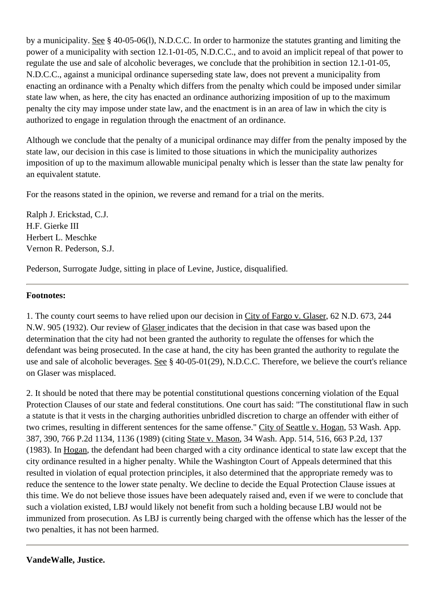by a municipality. See § 40-05-06(l), N.D.C.C. In order to harmonize the statutes granting and limiting the power of a municipality with section 12.1-01-05, N.D.C.C., and to avoid an implicit repeal of that power to regulate the use and sale of alcoholic beverages, we conclude that the prohibition in section 12.1-01-05, N.D.C.C., against a municipal ordinance superseding state law, does not prevent a municipality from enacting an ordinance with a Penalty which differs from the penalty which could be imposed under similar state law when, as here, the city has enacted an ordinance authorizing imposition of up to the maximum penalty the city may impose under state law, and the enactment is in an area of law in which the city is authorized to engage in regulation through the enactment of an ordinance.

Although we conclude that the penalty of a municipal ordinance may differ from the penalty imposed by the state law, our decision in this case is limited to those situations in which the municipality authorizes imposition of up to the maximum allowable municipal penalty which is lesser than the state law penalty for an equivalent statute.

For the reasons stated in the opinion, we reverse and remand for a trial on the merits.

Ralph J. Erickstad, C.J. H.F. Gierke III Herbert L. Meschke Vernon R. Pederson, S.J.

Pederson, Surrogate Judge, sitting in place of Levine, Justice, disqualified.

### **Footnotes:**

1. The county court seems to have relied upon our decision in City of Fargo v. Glaser, 62 N.D. 673, 244 N.W. 905 (1932). Our review of Glaser indicates that the decision in that case was based upon the determination that the city had not been granted the authority to regulate the offenses for which the defendant was being prosecuted. In the case at hand, the city has been granted the authority to regulate the use and sale of alcoholic beverages. See § 40-05-01(29), N.D.C.C. Therefore, we believe the court's reliance on Glaser was misplaced.

2. It should be noted that there may be potential constitutional questions concerning violation of the Equal Protection Clauses of our state and federal constitutions. One court has said: "The constitutional flaw in such a statute is that it vests in the charging authorities unbridled discretion to charge an offender with either of two crimes, resulting in different sentences for the same offense." City of Seattle v. Hogan, 53 Wash. App. 387, 390, 766 P.2d 1134, 1136 (1989) (citing State v. Mason, 34 Wash. App. 514, 516, 663 P.2d, 137 (1983). In Hogan, the defendant had been charged with a city ordinance identical to state law except that the city ordinance resulted in a higher penalty. While the Washington Court of Appeals determined that this resulted in violation of equal protection principles, it also determined that the appropriate remedy was to reduce the sentence to the lower state penalty. We decline to decide the Equal Protection Clause issues at this time. We do not believe those issues have been adequately raised and, even if we were to conclude that such a violation existed, LBJ would likely not benefit from such a holding because LBJ would not be immunized from prosecution. As LBJ is currently being charged with the offense which has the lesser of the two penalties, it has not been harmed.

**VandeWalle, Justice.**